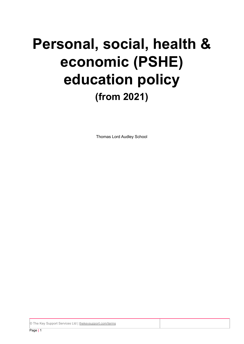# **Personal, social, health & economic (PSHE) education policy (from 2021)**

Thomas Lord Audley School

© The Key Support Services Ltd | [thekeysupport.com/terms](https://thekeysupport.com/terms-of-use)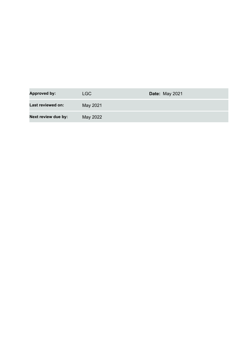| <b>Approved by:</b> | LGC      | <b>Date: May 2021</b> |
|---------------------|----------|-----------------------|
| Last reviewed on:   | May 2021 |                       |
| Next review due by: | May 2022 |                       |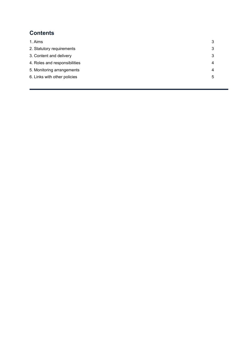# **Contents**

| 1. Aims                       | 3 |
|-------------------------------|---|
| 2. Statutory requirements     | 3 |
| 3. Content and delivery       | 3 |
| 4. Roles and responsibilities | 4 |
| 5. Monitoring arrangements    | 4 |
| 6. Links with other policies  | 5 |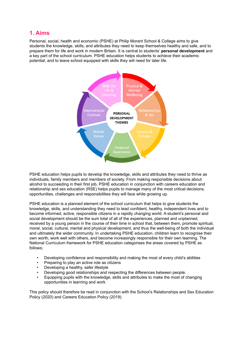# <span id="page-3-0"></span>**1. Aims**

Personal, social, health and economic (PSHE) at Philip Morant School & College aims to give students the knowledge, skills, and attributes they need to keep themselves healthy and safe, and to prepare them for life and work in modern Britain. It is central to students' **personal development** and a key part of the school curriculum. PSHE education helps students to achieve their academic potential, and to leave school equipped with skills they will need for later life.



PSHE education helps pupils to develop the knowledge, skills and attributes they need to thrive as individuals, family members and members of society. From making responsible decisions about alcohol to succeeding in their first job, PSHE education in conjunction with careers education and relationship and sex education (RSE) helps pupils to manage many of the most critical decisions, opportunities, challenges and responsibilities they will face while growing up.

PSHE education is a planned element of the school curriculum that helps to give students the knowledge, skills, and understanding they need to lead confident, healthy, independent lives and to become informed, active, responsible citizens in a rapidly changing world. A student's personal and social development should be the sum total of all of the experiences, planned and unplanned, received by a young person in the course of their time in school that, between them, promote spiritual, moral, social, cultural, mental and physical development, and thus the well-being of both the individual and ultimately the wider community. In undertaking PSHE education, children learn to recognise their own worth, work well with others, and become increasingly responsible for their own learning. The National Curriculum framework for PSHE education categorises the areas covered by PSHE as follows;

- Developing confidence and responsibility and making the most of every child's abilities
- Preparing to play an active role as citizens
- Developing a healthy, safer lifestyle
- Developing good relationships and respecting the differences between people.
- Equipping pupils with the knowledge, skills and attributes to make the most of changing opportunities in learning and work

This policy should therefore be read in conjunction with the School's Relationships and Sex Education Policy (2020) and Careers Education Policy (2019).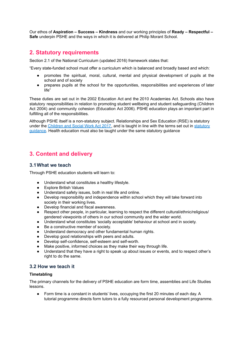Our ethos of **Aspiration – Success – Kindness** and our working principles of **Ready – Respectful – Safe** underpin PSHE and the ways in which it is delivered at Philip Morant School.

## <span id="page-4-0"></span>**2. Statutory requirements**

Section 2.1 of the National Curriculum (updated 2016) framework states that:

"Every state-funded school must offer a curriculum which is balanced and broadly based and which:

- promotes the spiritual, moral, cultural, mental and physical development of pupils at the school and of society
- prepares pupils at the school for the opportunities, responsibilities and experiences of later life"

These duties are set out in the 2002 Education Act and the 2010 Academies Act. Schools also have statutory responsibilities in relation to promoting student wellbeing and student safeguarding (Children Act 2004) and community cohesion (Education Act 2006). PSHE education plays an important part in fulfilling all of the responsibilities.

Although PSHE itself is a non-statutory subject. Relationships and Sex Education (RSE) is statutory under the [Children](http://www.legislation.gov.uk/ukpga/2017/16/section/34/enacted) and Social Work Act 2017, and is taught in line with the terms set out in [statutory](https://www.gov.uk/government/publications/relationships-education-relationships-and-sex-education-rse-and-health-education) [guidance.](https://www.gov.uk/government/publications/relationships-education-relationships-and-sex-education-rse-and-health-education) Health education must also be taught under the same statutory guidance

# <span id="page-4-1"></span>**3. Content and delivery**

## **3.1What we teach**

Through PSHE education students will learn to:

- Understand what constitutes a healthy lifestyle.
- Explore British Values
- Understand safety issues, both in real life and online.
- Develop responsibility and independence within school which they will take forward into society in their working lives.
- Develop financial and fiscal awareness.
- Respect other people, in particular, learning to respect the different cultural/ethnic/religious/ gendered viewpoints of others in our school community and the wider world.
- Understand what constitutes 'socially acceptable' behaviour at school and in society.
- Be a constructive member of society.
- Understand democracy and other fundamental human rights.
- Develop good relationships with peers and adults.
- Develop self-confidence, self-esteem and self-worth.
- Make positive, informed choices as they make their way through life.
- Understand that they have a right to speak up about issues or events, and to respect other's right to do the same.

## **3.2 How we teach it**

#### **Timetabling**

The primary channels for the delivery of PSHE education are form time, assemblies and Life Studies lessons.

● Form time is a constant in students' lives, occupying the first 20 minutes of each day. A tutorial programme directs form tutors to a fully resourced personal development programme.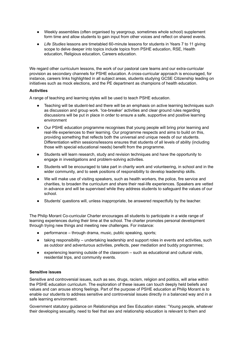- Weekly assemblies (often organised by yeargroup, sometimes whole school) supplement form time and allow students to gain input from other voices and reflect on shared events.
- *Life Studies* lessons are timetabled 60-minute lessons for students in Years 7 to 11 giving scope to delve deeper into topics include topics from PSHE education, RSE, Health education, Religious education, Careers education.

We regard other curriculum lessons, the work of our pastoral care teams and our extra-curricular provision as secondary channels for PSHE education. A cross-curricular approach is encouraged, for instance, careers links highlighted in all subject areas, students studying GCSE Citizenship leading on initiatives such as mock elections, and the PE department as champions of health education.

#### **Activities**

A range of teaching and learning styles will be used to teach PSHE education.

- Teaching will be student-led and there will be an emphasis on active learning techniques such as discussion and group work. 'Ice-breaker' activities and clear ground rules regarding discussions will be put in place in order to ensure a safe, supportive and positive learning environment
- Our PSHE education programme recognises that young people will bring prior learning and real-life experiences to their learning. Our programme respects and aims to build on this, providing something that reflects both the universal and unique needs of our students. Differentiation within sessions/lessons ensures that students of all levels of ability (including those with special educational needs) benefit from the programme.
- Students will learn research, study and revision techniques and have the opportunity to engage in investigations and problem-solving activities.
- Students will be encouraged to take part in charity work and volunteering, in school and in the wider community, and to seek positions of responsibility to develop leadership skills.
- We will make use of visiting speakers, such as health workers, the police, fire service and charities, to broaden the curriculum and share their real-life experiences. Speakers are vetted in advance and will be supervised while they address students to safeguard the values of our school.
- Students' questions will, unless inappropriate, be answered respectfully by the teacher.

The Philip Morant Co-curricular Charter encourages all students to participate in a wide range of learning experiences during their time at the school. The charter promotes personal development through trying new things and meeting new challenges. For instance:

- performance through drama, music, public speaking, sports;
- taking responsibility undertaking leadership and support roles in events and activities, such as outdoor and adventurous activities, prefects, peer mediation and buddy programmes;
- experiencing learning outside of the classroom such as educational and cultural visits, residential trips, and community events.

#### **Sensitive issues**

Sensitive and controversial issues, such as sex, drugs, racism, religion and politics, will arise within the PSHE education curriculum. The exploration of these issues can touch deeply held beliefs and values and can arouse strong feelings. Part of the purpose of PSHE education at Philip Morant is to enable our students to address sensitive and controversial issues directly in a balanced way and in a safe learning environment.

Government statutory guidance on Relationships and Sex Education states: "Young people, whatever their developing sexuality, need to feel that sex and relationship education is relevant to them and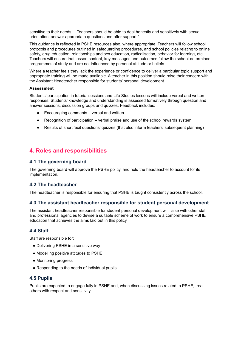sensitive to their needs ... Teachers should be able to deal honestly and sensitively with sexual orientation, answer appropriate questions and offer support."

This guidance is reflected in PSHE resources also, where appropriate. Teachers will follow school protocols and procedures outlined in safeguarding procedures, and school policies relating to online safety, drug education, relationships and sex education, radicalisation, behavior for learning, etc. Teachers will ensure that lesson content, key messages and outcomes follow the school-determined programmes of study and are not influenced by personal attitude or beliefs.

Where a teacher feels they lack the experience or confidence to deliver a particular topic support and appropriate training will be made available. A teacher in this position should raise their concern with the Assistant Headteacher responsible for students' personal development.

#### **Assessment**

Students' participation in tutorial sessions and Life Studies lessons will include verbal and written responses. Students' knowledge and understanding is assessed formatively through question and answer sessions, discussion groups and quizzes. Feedback includes:

- Encouraging comments verbal and written
- Recognition of participation verbal praise and use of the school rewards system
- Results of short 'exit questions' quizzes (that also inform teachers' subsequent planning)

## <span id="page-6-0"></span>**4. Roles and responsibilities**

## **4.1 The governing board**

The governing board will approve the PSHE policy, and hold the headteacher to account for its implementation.

## **4.2 The headteacher**

The headteacher is responsible for ensuring that PSHE is taught consistently across the school.

## **4.3 The assistant headteacher responsible for student personal development**

The assistant headteacher responsible for student personal development will liaise with other staff and professional agencies to devise a suitable scheme of work to ensure a comprehensive PSHE education that achieves the aims laid out in this policy.

#### **4.4 Staff**

Staff are responsible for:

- Delivering PSHE in a sensitive way
- Modelling positive attitudes to PSHE
- Monitoring progress
- Responding to the needs of individual pupils

#### **4.5 Pupils**

Pupils are expected to engage fully in PSHE and, when discussing issues related to PSHE, treat others with respect and sensitivity.